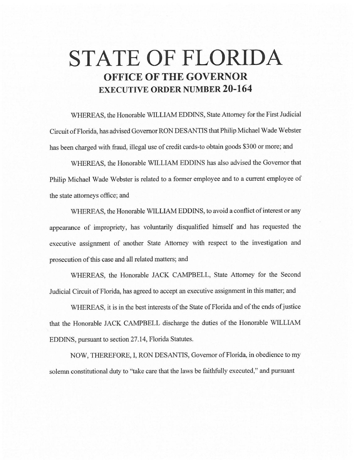# **STATE OF FLORIDA OFFICE OF THE GOVERNOR EXECUTIVE ORDER NUMBER 20-164**

WHEREAS, the Honorable WILLIAM EDDINS, State Attorney for the First Judicial Circuit of Florida, has advised Governor RON DESANTIS that Philip Michael Wade Webster has been charged with fraud, illegal use of credit cards-to obtain goods \$300 or more; and

WHEREAS, the Honorable WILLIAM EDDINS has also advised the Governor that Philip Michael Wade Webster is related to a former employee and to a current employee of the state attorneys office; and

WHEREAS, the Honorable WILLIAM EDDINS, to avoid a conflict of interest or any appearance of impropriety, has voluntarily disqualified himself and has requested the executive assignment of another State Attorney with respect to the investigation and prosecution of this case and all related matters; and

WHEREAS, the Honorable JACK CAMPBELL, State Attorney for the Second Judicial Circuit of Florida, has agreed to accept an executive assignment in this matter; and

WHEREAS, it is in the best interests of the State of Florida and of the ends of justice that the Honorable JACK CAMPBELL discharge the duties of the Honorable WILLIAM EDDINS, pursuant to section 27.14, Florida Statutes.

NOW, THEREFORE, I, RON DESANTIS, Governor of Florida, in obedience to my solemn constitutional duty to "take care that the laws be faithfully executed," and pursuant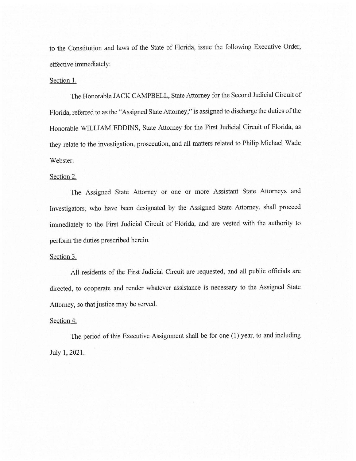to the Constitution and laws of the State of Florida, issue the following Executive Order, effective immediately:

## Section 1.

The Honorable JACK CAMPBELL, State Attorney for the Second Judicial Circuit of Florida, referred to as the "Assigned State Attorney," is assigned to discharge the duties of the Honorable WILLIAM EDDINS, State Attorney for the First Judicial Circuit of Florida, as they relate to the investigation, prosecution, and all matters related to Philip Michael Wade Webster.

## Section 2.

The Assigned State Attorney or one or more Assistant State Attorneys and Investigators, who have been designated by the Assigned State Attorney, shall proceed immediately to the First Judicial Circuit of Florida, and are vested with the authority to perform the duties prescribed herein.

### Section 3.

All residents of the First Judicial Circuit are requested, and all public officials are directed, to cooperate and render whatever assistance is necessary to the Assigned State Attorney, so that justice may be served.

### Section 4.

The period of this Executive Assignment shall be for one (1) year, to and including July 1, 2021.